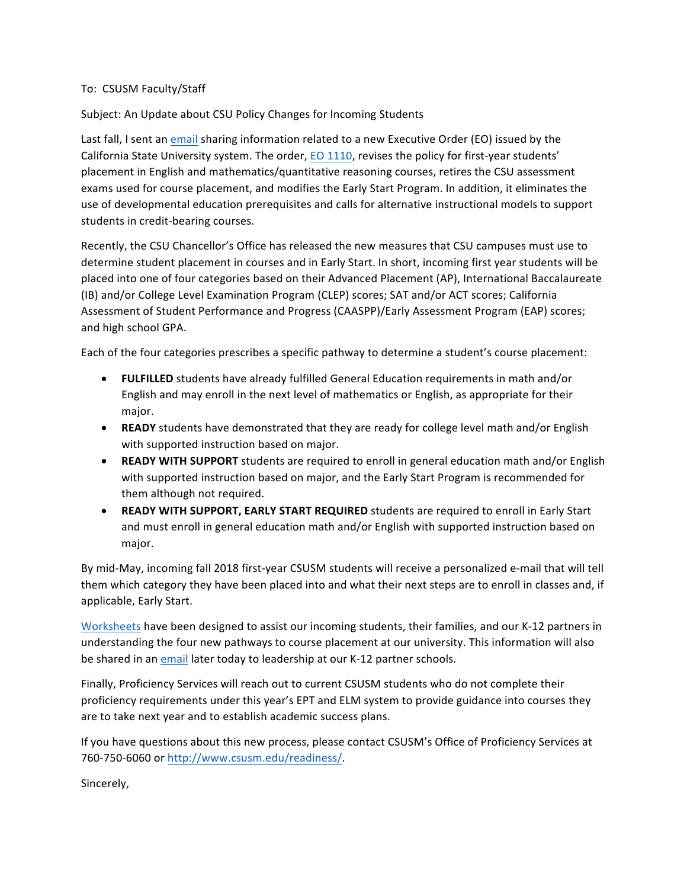## To: CSUSM Faculty/Staff

Subject: An Update about CSU Policy Changes for Incoming Students

Last fall, I sent an email sharing information related to a new Executive Order (EO) issued by the California State University system. The order, EO 1110, revises the policy for first-year students' placement in English and mathematics/quantitative reasoning courses, retires the CSU assessment exams used for course placement, and modifies the Early Start Program. In addition, it eliminates the use of developmental education prerequisites and calls for alternative instructional models to support students in credit-bearing courses.

Recently, the CSU Chancellor's Office has released the new measures that CSU campuses must use to determine student placement in courses and in Early Start. In short, incoming first year students will be placed into one of four categories based on their Advanced Placement (AP), International Baccalaureate (IB) and/or College Level Examination Program (CLEP) scores; SAT and/or ACT scores; California Assessment of Student Performance and Progress (CAASPP)/Early Assessment Program (EAP) scores; and high school GPA.

Each of the four categories prescribes a specific pathway to determine a student's course placement:

- **FULFILLED** students have already fulfilled General Education requirements in math and/or English and may enroll in the next level of mathematics or English, as appropriate for their major.
- **READY** students have demonstrated that they are ready for college level math and/or English with supported instruction based on major.
- **READY WITH SUPPORT** students are required to enroll in general education math and/or English with supported instruction based on major, and the Early Start Program is recommended for them although not required.
- READY WITH SUPPORT, EARLY START REQUIRED students are required to enroll in Early Start and must enroll in general education math and/or English with supported instruction based on major.

By mid-May, incoming fall 2018 first-year CSUSM students will receive a personalized e-mail that will tell them which category they have been placed into and what their next steps are to enroll in classes and, if applicable, Early Start.

Worksheets have been designed to assist our incoming students, their families, and our K-12 partners in understanding the four new pathways to course placement at our university. This information will also be shared in an email later today to leadership at our K-12 partner schools.

Finally, Proficiency Services will reach out to current CSUSM students who do not complete their proficiency requirements under this year's EPT and ELM system to provide guidance into courses they are to take next year and to establish academic success plans.

If you have questions about this new process, please contact CSUSM's Office of Proficiency Services at 760-750-6060 or http://www.csusm.edu/readiness/.

Sincerely,